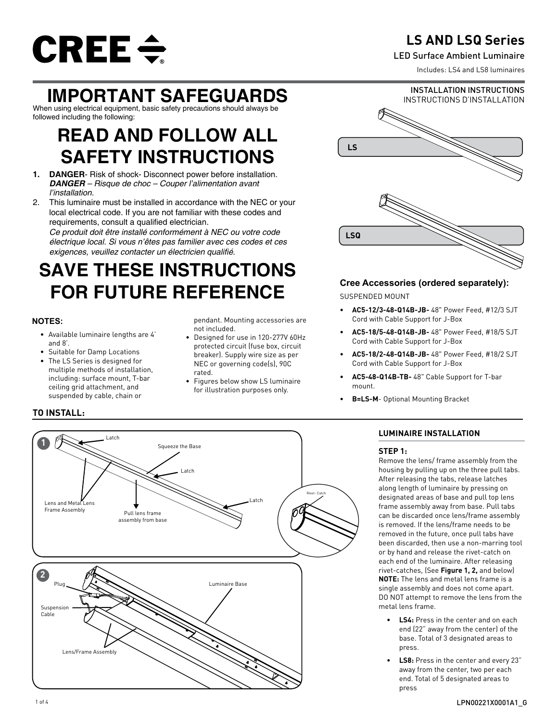

## **LS AND LSQ Series**

### LED Surface Ambient Luminaire

Includes: LS4 and LS8 luminaires

## **IMPORTANT SAFEGUARDS**

When using electrical equipment, basic safety precautions should always be followed including the following:

## **READ AND FOLLOW ALL SAFETY INSTRUCTIONS**

- **1. DANGER** Risk of shock- Disconnect power before installation. *DANGER – Risque de choc – Couper l'alimentation avant l'installation.*
- 2. This luminaire must be installed in accordance with the NEC or your local electrical code. If you are not familiar with these codes and requirements, consult a qualified electrician.

*Ce produit doit être installé conformément à NEC ou votre code électrique local. Si vous n'êtes pas familier avec ces codes et ces*  exigences, veuillez contacter un électricien qualifié.

# **SAVE THESE INSTRUCTIONS FOR FUTURE REFERENCE**

## **NOTES:**

- Available luminaire lengths are 4' and 8'.
- Suitable for Damp Locations
- The LS Series is designed for multiple methods of installation, including: surface mount, T-bar ceiling grid attachment, and suspended by cable, chain or

pendant. Mounting accessories are not included.

- Designed for use in 120-277V 60Hz protected circuit (fuse box, circuit breaker). Supply wire size as per NEC or governing code(s), 90C rated.
- Figures below show LS luminaire for illustration purposes only.



## **Cree Accessories (ordered separately):**

SUSPENDED MOUNT

- **• AC5-12/3-48-Q14B-JB-** 48" Power Feed, #12/3 SJT Cord with Cable Support for J-Box
- **• AC5-18/5-48-Q14B-JB-** 48" Power Feed, #18/5 SJT Cord with Cable Support for J-Box
- **• AC5-18/2-48-Q14B-JB-** 48" Power Feed, #18/2 SJT Cord with Cable Support for J-Box
- **• AC5-48-Q14B-TB-** 48" Cable Support for T-bar mount.
- **• B=LS-M** Optional Mounting Bracket

## **LUMINAIRE INSTALLATION**

### **STEP 1:**

Remove the lens/ frame assembly from the housing by pulling up on the three pull tabs. After releasing the tabs, release latches along length of luminaire by pressing on designated areas of base and pull top lens frame assembly away from base. Pull tabs can be discarded once lens/frame assembly is removed. If the lens/frame needs to be removed in the future, once pull tabs have been discarded, then use a non-marring tool or by hand and release the rivet-catch on each end of the luminaire. After releasing rivet-catches, (See **Figure 1, 2,** and below) **NOTE:** The lens and metal lens frame is a single assembly and does not come apart. DO NOT attempt to remove the lens from the metal lens frame.

- **• LS4:** Press in the center and on each end (22" away from the center) of the base. Total of 3 designated areas to press.
- **• LS8:** Press in the center and every 23" away from the center, two per each end. Total of 5 designated areas to press

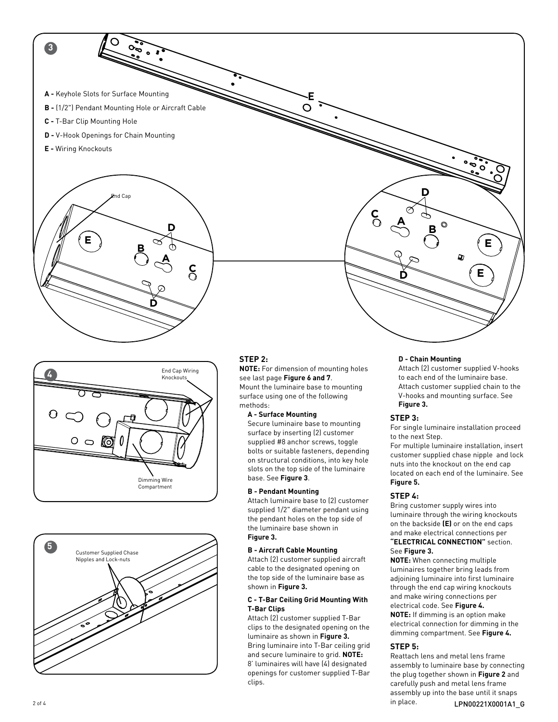





## **STEP 2:**

**NOTE:** For dimension of mounting holes see last page **Figure 6 and 7**. Mount the luminaire base to mounting surface using one of the following methods:

#### **A - Surface Mounting**

Secure luminaire base to mounting surface by inserting (2) customer supplied #8 anchor screws, toggle bolts or suitable fasteners, depending on structural conditions, into key hole slots on the top side of the luminaire base. See **Figure 3**.

#### **B - Pendant Mounting**

Attach luminaire base to (2) customer supplied 1/2" diameter pendant using the pendant holes on the top side of the luminaire base shown in **Figure 3.**

#### **B - Aircraft Cable Mounting**

Attach (2) customer supplied aircraft cable to the designated opening on the top side of the luminaire base as shown in **Figure 3.** 

#### **C - T-Bar Ceiling Grid Mounting With T-Bar Clips**

Attach (2) customer supplied T-Bar clips to the designated opening on the luminaire as shown in **Figure 3.** Bring luminaire into T-Bar ceiling grid and secure luminaire to grid. **NOTE:**  8' luminaires will have (4) designated openings for customer supplied T-Bar clips.

#### **D - Chain Mounting**

Attach (2) customer supplied V-hooks to each end of the luminaire base. Attach customer supplied chain to the V-hooks and mounting surface. See **Figure 3.**

## **STEP 3:**

For single luminaire installation proceed to the next Step.

For multiple luminaire installation, insert customer supplied chase nipple and lock nuts into the knockout on the end cap located on each end of the luminaire. See **Figure 5.**

#### **STEP 4:**

Bring customer supply wires into luminaire through the wiring knockouts on the backside **(E)** or on the end caps and make electrical connections per **"ELECTRICAL CONNECTION"** section.

#### See **Figure 3.**

**NOTE:** When connecting multiple luminaires together bring leads from adjoining luminaire into first luminaire through the end cap wiring knockouts and make wiring connections per electrical code. See **Figure 4. NOTE:** If dimming is an option make electrical connection for dimming in the dimming compartment. See **Figure 4.**

#### **STEP 5:**

2 of 4 **LPN00221X0001A1** G Reattach lens and metal lens frame assembly to luminaire base by connecting the plug together shown in **Figure 2** and carefully push and metal lens frame assembly up into the base until it snaps in place.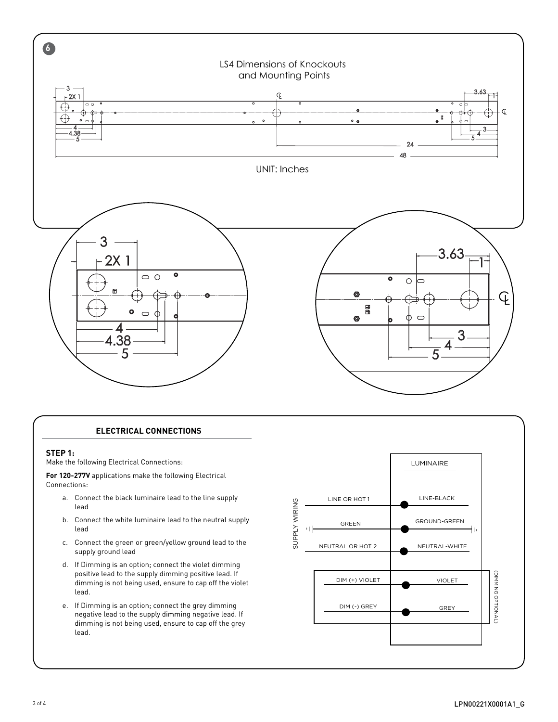

## **ELECTRICAL CONNECTIONS**

#### **STEP 1:**

 $\sqrt{1-\frac{1}{2}}$ 

Make the following Electrical Connections:

**For 120-277V** applications make the following Electrical Connections:

- a. Connect the black luminaire lead to the line supply lead
- b. Connect the white luminaire lead to the neutral supply lead
- c. Connect the green or green/yellow ground lead to the supply ground lead
- d. If Dimming is an option; connect the violet dimming positive lead to the supply dimming positive lead. If dimming is not being used, ensure to cap off the violet lead.
- e. If Dimming is an option; connect the grey dimming negative lead to the supply dimming negative lead. If dimming is not being used, ensure to cap off the grey lead.